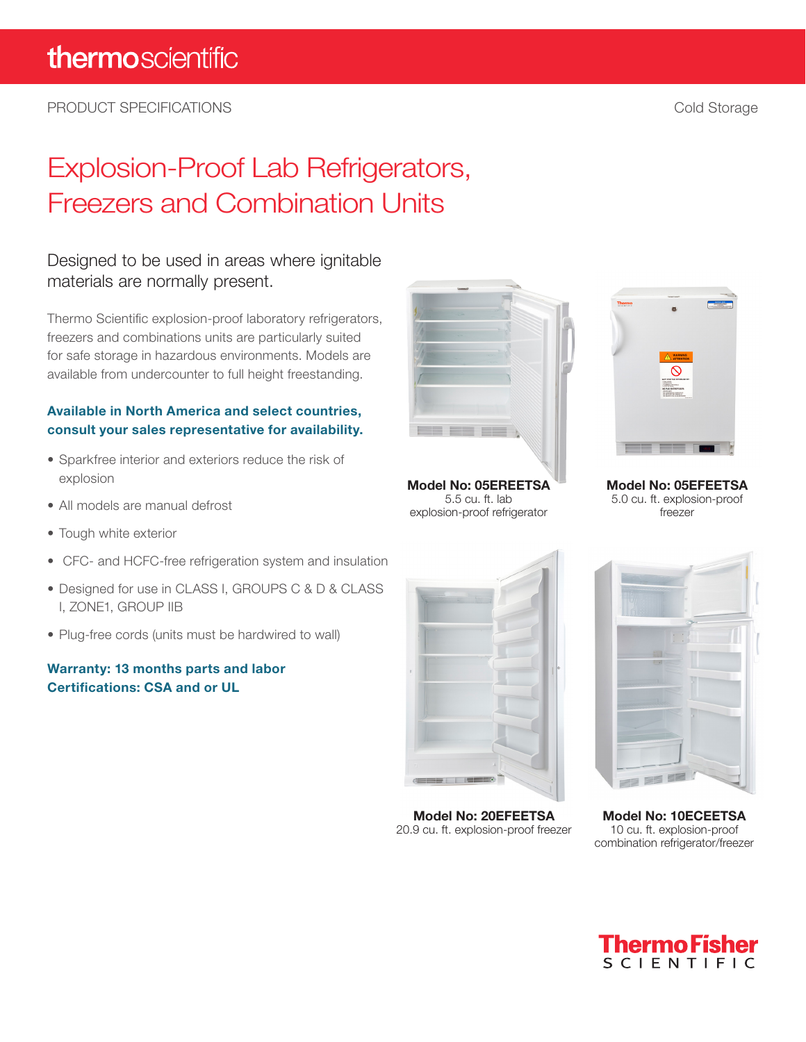PRODUCT SPECIFICATIONS **Cold Storage** Cold Storage Cold Storage Cold Storage Cold Storage Cold Storage Cold Storage Cold Storage Cold Storage Cold Storage Cold Storage Cold Storage Cold Storage Cold Storage Cold Storage Co

# Explosion-Proof Lab Refrigerators, Freezers and Combination Units

## Designed to be used in areas where ignitable materials are normally present.

Thermo Scientific explosion-proof laboratory refrigerators, freezers and combinations units are particularly suited for safe storage in hazardous environments. Models are available from undercounter to full height freestanding.

### Available in North America and select countries, consult your sales representative for availability.

- Sparkfree interior and exteriors reduce the risk of explosion
- All models are manual defrost
- Tough white exterior
- CFC- and HCFC-free refrigeration system and insulation
- Designed for use in CLASS I, GROUPS C & D & CLASS I, ZONE1, GROUP IIB
- Plug-free cords (units must be hardwired to wall)

#### Warranty: 13 months parts and labor Certifications: CSA and or UL



**Model No: 05EREETSA** 5.5 cu. ft. lab explosion-proof refrigerator



**Model No: 05EFEETSA** 5.0 cu. ft. explosion-proof freezer



**Model No: 20EFEETSA** 20.9 cu. ft. explosion-proof freezer



**Model No: 10ECEETSA** 10 cu. ft. explosion-proof combination refrigerator/freezer